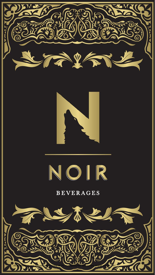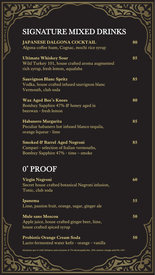# SIGNATURE MIXED DRINKS

| <b>JAPANESE DALGONA COCKTAIL</b><br>Algona coffee foam, Cognac, mochi rice syrup                                           | 80 |  |
|----------------------------------------------------------------------------------------------------------------------------|----|--|
| <b>Ultimate Whiskey Sour</b><br>Wild Turkey 101, house crafted aroma augmented<br>rich syrup, fresh lemon, aquafaba        | 85 |  |
| <b>Sauvignon Blanc Spritz</b><br>Vodka, house crafted infused sauvignon blanc<br>Vermouth, club soda                       | 85 |  |
| <b>Wax Aged Bee's Knees</b><br>Bombay Sapphire 47% & honey aged in<br>beeswax - fresh lemon                                | 80 |  |
| Habanero Margarita<br>Peculiar habanero hot infused blanco tequila,<br>orange liqueur - lime                               | 85 |  |
| <b>Smoked &amp; Barrel Aged Negroni</b><br>Campari - selection of Italian vermouths,<br>Bombay Sapphire 47% - time – smoke | 85 |  |
| 0° PROOF                                                                                                                   |    |  |
| <b>Virgin Negroni</b><br>Secret house crafted botanical Negroni infusion,<br>Tonic, club soda                              | 60 |  |
| Ipanema<br>Lime, passion fruit, orange, sugar, ginger ale                                                                  | 55 |  |
| <b>Mule sans Moscou</b><br>Apple juice, house crafted ginger beer, lime,<br>house crafted spiced syrup                     | 50 |  |
| <b>Probiotic Orange Cream Soda</b>                                                                                         | 50 |  |

Lacto-fermented water kefir - orange - vanilla

All prices are in UAE Dirhams and inclusive of 7% Municipality fee, 10% service charge and 5% VAT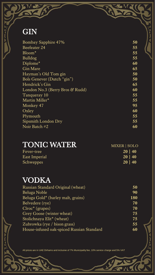# **GIN**

| <b>Bombay Sapphire 47%</b>      | 50 |
|---------------------------------|----|
| Beefeater 24                    | 55 |
| Bloom*                          | 55 |
| <b>Bulldog</b>                  | 55 |
| Diplome*                        | 60 |
| <b>Gin Mare</b>                 | 65 |
| Hayman's Old Tom gin            | 50 |
| Bols Genever (Dutch "gin")      | 50 |
| Hendrick's Gin                  | 65 |
| London No.3 (Berry Bros & Rudd) | 60 |
| Tanqueray 10                    | 55 |
| Martin Miller*                  | 55 |
| Monkey 47                       | 95 |
| Oxley                           | 60 |
| Plymouth                        | 55 |
| Sipsmith London Dry             | 55 |
| Noir Batch #2                   | 60 |
|                                 |    |

 $\frac{1}{2}$ 

**AWAGA** 

## TONIC WATER MIXER | SOLO

| Fever-tree    | 20 40        |
|---------------|--------------|
| East Imperial | $20 \mid 40$ |
| Schweppes     | 20 40        |

### VODKA

| Russian Standard Original (wheat)         | 50  |
|-------------------------------------------|-----|
| Beluga Noble                              | 90  |
| Beluga Gold* (barley malt, grains)        | 180 |
| Belvedere (rye)                           | 70  |
| $C*$ (grapes)                             | 70  |
| Grey Goose (winter wheat)                 | 75  |
| Stolichnaya Elit <sup>*</sup> (wheat)     | 75  |
| Zubrowka (rye / bison grass)              | 55  |
| House-infused oak-spiced Russian Standard | 60  |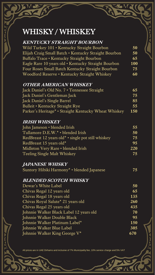### WHISKY / WHISKEY

#### **KENTUCKY STRAIGHT BOURBON** Wild Turkey 101 • Kentucky Straight Bourbon **50** Elijah Craig Small Batch • Kentucky Straight Bourbon **50** Buffalo Trace • Kentucky Straight Bourbon **65** Eagle Rare 10 years old • Kentucky Straight Bourbon **100** Four Roses Small Batch Kentucky Straight Bourbon **75** Woodford Reserve • Kentucky Straight Whiskey **60**

#### **OTHER AMERICAN WHISKEY**

| Jack Daniel's Old No. 7 • Tennessee Straight         | 65  |
|------------------------------------------------------|-----|
| Jack Daniel's Gentleman Jack                         | 75  |
| Jack Daniel's Single Barrel                          | 85  |
| Bulleit • Kentucky Straight Rye                      | 55  |
| Parker's Heritage* • Straight Kentucky Wheat Whiskey | 150 |

#### **IRISH WHISKEY**

| John Jameson • blended Irish                                   | 55  |
|----------------------------------------------------------------|-----|
| Tullamore D.E.W.* + blended Irish                              | 50  |
| RedBreast 12 years old <sup>*</sup> • single pot still whiskey | 75  |
| RedBreast 15 years old*                                        | 95  |
| Midleton Very Rare • blended Irish                             | 220 |
| <b>Teeling Single Malt Whiskey</b>                             | 75  |

#### **JAPANESE WHISKY**

Suntory Hibiki Harmony\* • blended Japanese **75**

#### **BLENDED SCOTCH WHISKY**

| Dewar's White Label                       | 50  |
|-------------------------------------------|-----|
| Chivas Regal 12 years old                 | 65  |
| Chivas Regal 18 years old                 | 135 |
| Chivas Royal Salute* 21 years old         | 260 |
| Chivas Regal 25 years old                 | 435 |
| Johnnie Walker Black Label 12 years old   | 70  |
| Johnnie Walker Double Black               | 95  |
| Johnnie Walker Platinum Label*            | 150 |
| Johnnie Walker Blue Label                 | 305 |
| Johnnie Walker King George V <sup>*</sup> | 670 |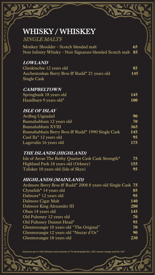| <b>WHISKY / WHISKEY</b><br><b>SINGLE MALTS</b>                                                                                     |            |
|------------------------------------------------------------------------------------------------------------------------------------|------------|
| Monkey Shoulder - Scotch blended malt<br>Noir Infinity Whisky - Noir Signature blended Scotch malt 85                              | 65         |
| <b>LOWLAND</b>                                                                                                                     |            |
| Glenkinchie 12 years old<br>Auchentoshan Berry Bros & Rudd* 21 years old<br>Single Cask                                            | 85<br>145  |
| <b>CAMPBELTOWN</b>                                                                                                                 |            |
| Springbank 18 years old<br>Hazelburn 9 years old*                                                                                  | 145<br>100 |
| <b>ISLE OF ISLAY</b>                                                                                                               |            |
| Ardbeg Uigeadail<br>Bunnahabhain 12 years old                                                                                      | 90<br>70   |
| Bunnahabhain XVIII                                                                                                                 | 365        |
| Bunnahabhain Berry Bros & Rudd* 1990 Single Cask                                                                                   | 145        |
| Caol Ila* 12 years old                                                                                                             | 95         |
| Lagavulin 16 years old                                                                                                             | 175        |
| THE ISLANDS (HIGHLAND)                                                                                                             |            |
|                                                                                                                                    | 75         |
|                                                                                                                                    |            |
| Isle of Arran The Bothy Quarter Cask Cask Strength*<br>Highland Park 18 years old (Orkney)<br>Talisker 10 years old (Isle of Skye) | 155<br>95  |
| HIGHLANDS (MAINLAND)<br>Ardmore Berry Bros & Rudd* 2008 8 years old Single Cask 75                                                 |            |
| Clynelish* 14 years old                                                                                                            | 85         |
| Dalmore* 12 years old                                                                                                              | 95         |
| Dalmore Cigar Malt                                                                                                                 | 140        |
| Dalmore King Alexander III                                                                                                         | 280        |
| Oban 14 years old                                                                                                                  | 145        |
| Old Pulteney 12 years old                                                                                                          | 70         |
| Old Pulteney Dunnet Head*                                                                                                          | 95         |
| Glenmorangie 10 years old "The Original"                                                                                           | 70         |
| Glenmorangie 12 years old "Nectar d'Or"                                                                                            | 90         |
| Glenmorangie 18 years old                                                                                                          | 230        |

**30 MQ (104** 

All prices are in UAE Dirhams and inclusive of 7% Municipality fee, 10% service charge and 5% VAT

 $\mathbf{v}_i$ 

 $\mathbf{v}$ 

Sires

J

**UNATI** 

 $\frac{1}{2}$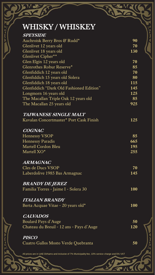| <b>WHISKY/WHISKEY</b>                                                                             |          |  |
|---------------------------------------------------------------------------------------------------|----------|--|
| <b>SPEYSIDE</b>                                                                                   |          |  |
| Auchroisk Berry Bros & Rudd*                                                                      | 90       |  |
| Glenlivet 12 years old                                                                            | 70       |  |
| Glenlivet 18 years old                                                                            | 130      |  |
| Glenlivet Cipher**                                                                                |          |  |
| Glen Elgin 12 years old                                                                           | 70       |  |
| Glenrothes Robur Reserve*<br>Glenfiddich 12 years old                                             | 85<br>70 |  |
| Glenfiddich 15 years old Solera                                                                   | 80       |  |
| Glenfiddich 18 years old                                                                          | 115      |  |
| Glenfiddich "Dark Old Fashioned Edition"                                                          | 145      |  |
| Longmorn 16 years old                                                                             | 125      |  |
| The Macallan Triple Oak 12 years old                                                              | 85       |  |
| The Macallan 25 years old                                                                         | 925      |  |
| <b>TAIWANESE SINGLE MALT</b>                                                                      |          |  |
| Kavalan Concertmaster* Port Cask Finish                                                           | 125      |  |
| <b>COGNAC</b>                                                                                     |          |  |
| <b>Hennessy VSOP</b>                                                                              | 85       |  |
| <b>Hennessy Paradis</b>                                                                           | 665      |  |
| <b>Martell Cordon Bleu</b>                                                                        | 195      |  |
| Martell XO*                                                                                       | 255      |  |
| <b>ARMAGNAC</b>                                                                                   |          |  |
| Cles de Ducs VSOP                                                                                 | 70       |  |
| Laberdolive 1985 Bas Armagnac                                                                     | 145      |  |
| <b>BRANDY DE JEREZ</b>                                                                            |          |  |
| Familia Torres - Jaime I - Solera 30                                                              | 100      |  |
| <b>ITALIAN BRANDY</b>                                                                             |          |  |
| Berta Acquae Vitae - 20 years old*                                                                | 100      |  |
| <b>CALVADOS</b>                                                                                   |          |  |
| <b>Boulard Pays d'Auge</b>                                                                        | 50       |  |
| Chateau du Breuil - 12 ans - Pays d'Auge                                                          | 120      |  |
| <b>PISCO</b>                                                                                      |          |  |
| Cuatro Gallos Mosto Verde Quebranta                                                               | 50       |  |
| All prices are in UAE Dirhams and inclusive of 7% Municipality fee, 10% service charge and 5% VAT |          |  |

**STRACT** 

**UNITED** 

**CITANTIC** 

She ı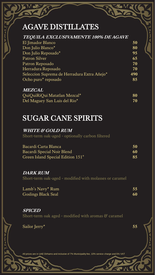# AGAVE DISTILLATES

| <b>TEQUILA EXCLUSIVAMENTE 100% DE AGAVE</b> |     |
|---------------------------------------------|-----|
| El Jimador Blanco                           | 50  |
| Don Julio Blanco*                           | 80  |
| Don Julio Reposado*                         | 95  |
| <b>Patron Silver</b>                        | 65  |
| Patron Reposado                             | 70  |
| Herradura Reposado                          | 70  |
| Seleccion Suprema de Herradura Extra Añejo* | 490 |
| Ocho puro* reposado                         | 85  |
|                                             |     |

**MEZCAL** QuiQuiRiQui Matatlan Mezcal\* **80** Del Maguey San Luis del Rio\* **70**

### SUGAR CANE SPIRITS

**WHITE & GOLD RUM** 

Short-term oak-aged - optionally carbon filtered

| Bacardi Carta Blanca              | 50 |
|-----------------------------------|----|
| Bacardi Special Noir Blend        | 60 |
| Green Island Special Edition 151° | 85 |

#### **DARK RUM**

Short-term oak-aged - modified with molasses or caramel

| Lamb's Navy* Rum           | 55 |
|----------------------------|----|
| <b>Goslings Black Seal</b> | 60 |

**SPICED**  Short-term oak aged - modified with aromas & caramel

| Sailor Jerry* | 55 |
|---------------|----|
|               |    |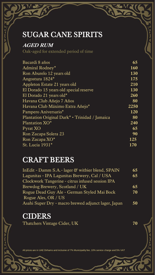### SUGAR CANE SPIRITS

#### **AGED RUM**

Oak-aged for extended period of time

| Bacardi 8 años                                 | 65   |
|------------------------------------------------|------|
| Admiral Rodney*                                | 160  |
| Ron Aburelo 12 years old                       | 130  |
| Angostura 1824*                                | 175  |
| Appleton Estate 21 years old                   | 210  |
| El Dorado 15 years old special reserve         | 130  |
| El Dorado 21 years old*                        | 260  |
| Havana Club Añejo 7 Años                       | 80   |
| Havana Club Máximo Extra Añejo*                | 2250 |
| Pampero Aniversario*                           | 120  |
| Plantation Original Dark* • Trinidad / Jamaica | 80   |
| Plantation XO*                                 | 240  |
| Pyrat XO                                       | 65   |
| Ron Zacapa Solera 23                           | 90   |
| Ron Zacapa XO*                                 | 125  |
| St. Lucia 1931*                                | 170  |

### CRAFT BEERS

InEdit - Damm S.A.- lager & witbier blend, SPAIN 65 Lagunitas - IPA Lagunitas Brewery, Cal / USA **65** Clockwork Tangerine - citrus infused session IPA Brewdog Brewery, Scotland / UK **65** Rogue Dead Guy Ale - German Styled Mai Bock **70** Rogue Ales, OR / US Asahi Super Dry - macro brewed adjunct lager, Japan **50**

### CIDERS

Thatchers Vintage Cider, UK **70**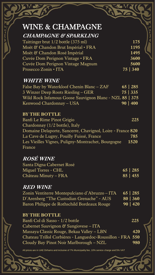# WINE & CHAMPAGNE

| 175      |
|----------|
| 1195     |
| 1495     |
| 3600     |
| 5600     |
| 75   340 |
|          |

#### **WHITE WINE**

| False Bay by Waterkloof Chenin Blanc – ZAF              |          | $65 \mid 285$ |
|---------------------------------------------------------|----------|---------------|
| 3 Winzer Deep Roots Riesling – GER                      |          | 75   335      |
| Wild Rock Infamous Goose Sauvignon Blanc - NZL 85   375 |          |               |
| Kenwood Chardonnay - USA                                | 90   400 |               |

#### **BY THE BOTTLE**

Banfi Le Rime Pinot Grigio **225** Chardonnay (1/2 bottle), Italy Domaine Delaporte, Sancerre, Chavignol, Loire - France **820** La Cave de Lugny, Pouilly Fuissé, France **785** Les Vieilles Vignes, Puligny-Montrachet, Bourgogne **1520** France

### **ROSÉ WINE**

| Santa Digna Cabernet Rosé |               |
|---------------------------|---------------|
| Miguel Torres - CHL       | $65 \mid 285$ |
| Château Minuty – FRA      | 85   455      |

#### **RED WINE**

Zonin Ventiterre Montepulciano d'Abruzzo – ITA **65 | 285** D'Arenberg "The Custodian Grenache" - AUS **80 | 360** Baron Philippe de Rothschild Bordeaux Rouge **90 | 420**

#### **BY THE BOTTLE**

| Banfi Col di Sasso - 1/2 bottle                            | 225 |
|------------------------------------------------------------|-----|
| Cabernet Sauvignon & Sangiovese – ITA                      |     |
| Massaya Classic Rouge, Bekaa Valley – LBN                  | 420 |
| Chateau Trillol Corbières - Languedoc-Roussillon - FRA 550 |     |
| Cloudy Bay Pinot Noir Marlborough - NZL                    | 980 |